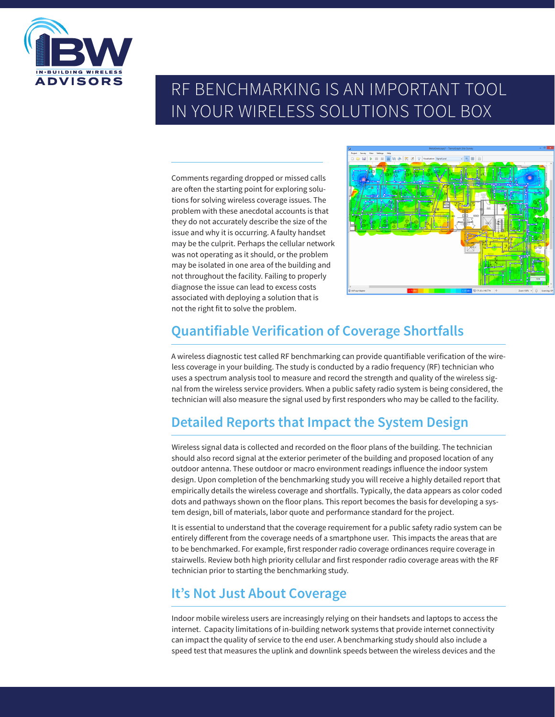

# RF BENCHMARKING IS AN IMPORTANT TOOL IN YOUR WIRELESS SOLUTIONS TOOL BOX

Comments regarding dropped or missed calls are often the starting point for exploring solutions for solving wireless coverage issues. The problem with these anecdotal accounts is that they do not accurately describe the size of the issue and why it is occurring. A faulty handset may be the culprit. Perhaps the cellular network was not operating as it should, or the problem may be isolated in one area of the building and not throughout the facility. Failing to properly diagnose the issue can lead to excess costs associated with deploying a solution that is not the right fit to solve the problem.



## **Quantifiable Verification of Coverage Shortfalls**

A wireless diagnostic test called RF benchmarking can provide quantifiable verification of the wireless coverage in your building. The study is conducted by a radio frequency (RF) technician who uses a spectrum analysis tool to measure and record the strength and quality of the wireless signal from the wireless service providers. When a public safety radio system is being considered, the technician will also measure the signal used by first responders who may be called to the facility.

## **Detailed Reports that Impact the System Design**

Wireless signal data is collected and recorded on the floor plans of the building. The technician should also record signal at the exterior perimeter of the building and proposed location of any outdoor antenna. These outdoor or macro environment readings influence the indoor system design. Upon completion of the benchmarking study you will receive a highly detailed report that empirically details the wireless coverage and shortfalls. Typically, the data appears as color coded dots and pathways shown on the floor plans. This report becomes the basis for developing a system design, bill of materials, labor quote and performance standard for the project.

It is essential to understand that the coverage requirement for a public safety radio system can be entirely different from the coverage needs of a smartphone user. This impacts the areas that are to be benchmarked. For example, first responder radio coverage ordinances require coverage in stairwells. Review both high priority cellular and first responder radio coverage areas with the RF technician prior to starting the benchmarking study.

## **It's Not Just About Coverage**

Indoor mobile wireless users are increasingly relying on their handsets and laptops to access the internet. Capacity limitations of in-building network systems that provide internet connectivity can impact the quality of service to the end user. A benchmarking study should also include a speed test that measures the uplink and downlink speeds between the wireless devices and the